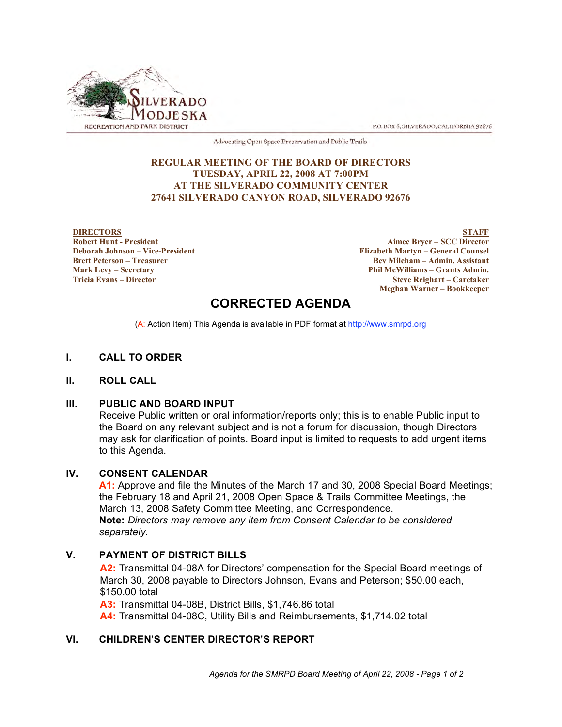

P.O. BOX 8, SILVERADO, CALIFORNIA 92676

Advocating Open Space Preservation and Public Trails

#### **REGULAR MEETING OF THE BOARD OF DIRECTORS TUESDAY, APRIL 22, 2008 AT 7:00PM AT THE SILVERADO COMMUNITY CENTER 27641 SILVERADO CANYON ROAD, SILVERADO 92676**

**DIRECTORS Robert Hunt - President Deborah Johnson – Vice-President Brett Peterson – Treasurer Mark Levy – Secretary Tricia Evans – Director**

**STAFF Aimee Bryer – SCC Director Elizabeth Martyn – General Counsel Bev Mileham – Admin. Assistant Phil McWilliams – Grants Admin. Steve Reighart – Caretaker Meghan Warner – Bookkeeper**

# **CORRECTED AGENDA**

(A: Action Item) This Agenda is available in PDF format at http://www.smrpd.org

#### **I. CALL TO ORDER**

#### **II. ROLL CALL**

#### **III. PUBLIC AND BOARD INPUT**

Receive Public written or oral information/reports only; this is to enable Public input to the Board on any relevant subject and is not a forum for discussion, though Directors may ask for clarification of points. Board input is limited to requests to add urgent items to this Agenda.

#### **IV. CONSENT CALENDAR**

**A1:** Approve and file the Minutes of the March 17 and 30, 2008 Special Board Meetings; the February 18 and April 21, 2008 Open Space & Trails Committee Meetings, the March 13, 2008 Safety Committee Meeting, and Correspondence. **Note:** *Directors may remove any item from Consent Calendar to be considered separately.*

#### **V. PAYMENT OF DISTRICT BILLS**

**A2:** Transmittal 04-08A for Directors' compensation for the Special Board meetings of March 30, 2008 payable to Directors Johnson, Evans and Peterson; \$50.00 each, \$150.00 total

**A3:** Transmittal 04-08B, District Bills, \$1,746.86 total

**A4:** Transmittal 04-08C, Utility Bills and Reimbursements, \$1,714.02 total

#### **VI. CHILDREN'S CENTER DIRECTOR'S REPORT**